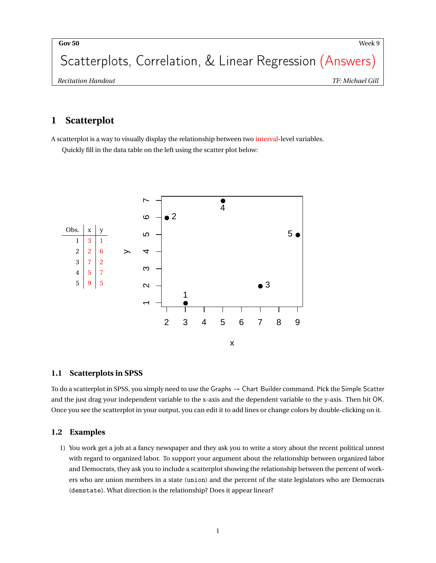Scatterplots, Correlation, & Linear Regression (Answers)

# **1 Scatterplot**

A scatterplot is a way to visually display the relationship between two interval-level variables. Quickly fill in the data table on the left using the scatter plot below:



## **1.1 Scatterplots in SPSS**

To do a scatterplot in SPSS, you simply need to use the Graphs → Chart Builder command. Pick the Simple Scatter and the just drag your independent variable to the x-axis and the dependent variable to the y-axis. Then hit OK. Once you see the scatterplot in your output, you can edit it to add lines or change colors by double-clicking on it.

## **1.2 Examples**

1) You work get a job at a fancy newspaper and they ask you to write a story about the recent political unrest with regard to organized labor. To support your argument about the relationship between organized labor and Democrats, they ask you to include a scatterplot showing the relationship between the percent of workers who are union members in a state (union) and the percent of the state legislators who are Democrats (demstate). What direction is the relationship? Does it appear linear?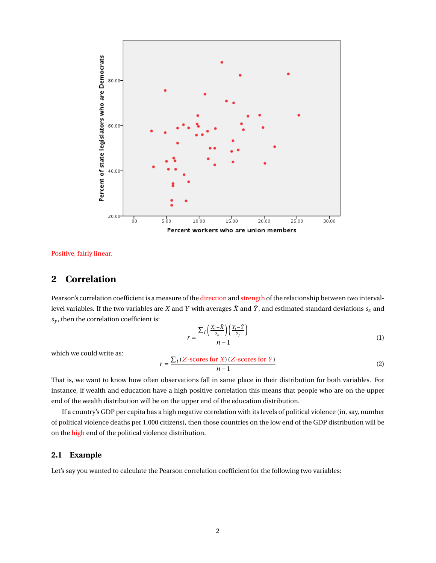

Positive, fairly linear.

## **2 Correlation**

Pearson's correlation coefficient is a measure of the direction and strength of the relationship between two intervallevel variables. If the two variables are *X* and *Y* with averages  $\bar{X}$  and  $\bar{Y}$ , and estimated standard deviations  $s_x$  and  $s_y$ , then the correlation coefficient is:

$$
r = \frac{\sum_{i} \left( \frac{X_i - \bar{X}}{s_x} \right) \left( \frac{Y_i - \bar{Y}}{s_y} \right)}{n - 1} \tag{1}
$$

which we could write as:

$$
r = \frac{\sum_{i} (Z\text{-scores for }X) (Z\text{-scores for }Y)}{n-1}
$$
 (2)

That is, we want to know how often observations fall in same place in their distribution for both variables. For instance, if wealth and education have a high positive correlation this means that people who are on the upper end of the wealth distribution will be on the upper end of the education distribution.

If a country's GDP per capita has a high negative correlation with its levels of political violence (in, say, number of political violence deaths per 1,000 citizens), then those countries on the low end of the GDP distribution will be on the high end of the political violence distribution.

#### **2.1 Example**

Let's say you wanted to calculate the Pearson correlation coefficient for the following two variables: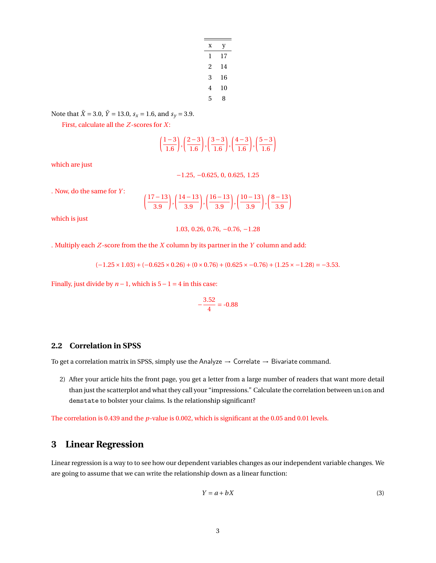| x | у  |
|---|----|
| 1 | 17 |
| 2 | 14 |
| 3 | 16 |
| 4 | 10 |
| 5 | 8  |

Note that  $\bar{X} = 3.0$ ,  $\bar{Y} = 13.0$ ,  $s_x = 1.6$ , and  $s_y = 3.9$ .

First, calculate all the *Z*-scores for *X*:

$$
\left(\frac{1-3}{1.6}\right), \left(\frac{2-3}{1.6}\right), \left(\frac{3-3}{1.6}\right), \left(\frac{4-3}{1.6}\right), \left(\frac{5-3}{1.6}\right)
$$

which are just

−1.25, −0.625, 0, 0.625, 1.25

. Now, do the same for *Y* :

$$
\left(\frac{17-13}{3.9}\right), \left(\frac{14-13}{3.9}\right), \left(\frac{16-13}{3.9}\right), \left(\frac{10-13}{3.9}\right), \left(\frac{8-13}{3.9}\right)
$$

which is just

1.03, 0.26, 0.76, −0.76, −1.28

. Multiply each *Z*-score from the the *X* column by its partner in the *Y* column and add:

 $(-1.25 \times 1.03) + (-0.625 \times 0.26) + (0 \times 0.76) + (0.625 \times -0.76) + (1.25 \times -1.28) = -3.53.$ 

Finally, just divide by  $n-1$ , which is  $5-1=4$  in this case:

$$
-\frac{3.52}{4} = -0.88
$$

### **2.2 Correlation in SPSS**

To get a correlation matrix in SPSS, simply use the Analyze  $\rightarrow$  Correlate  $\rightarrow$  Bivariate command.

2) After your article hits the front page, you get a letter from a large number of readers that want more detail than just the scatterplot and what they call your "impressions." Calculate the correlation between union and demstate to bolster your claims. Is the relationship significant?

The correlation is 0.439 and the *p*-value is 0.002, which is significant at the 0.05 and 0.01 levels.

# **3 Linear Regression**

Linear regression is a way to to see how our dependent variables changes as our independent variable changes. We are going to assume that we can write the relationship down as a linear function:

$$
Y = a + bX \tag{3}
$$